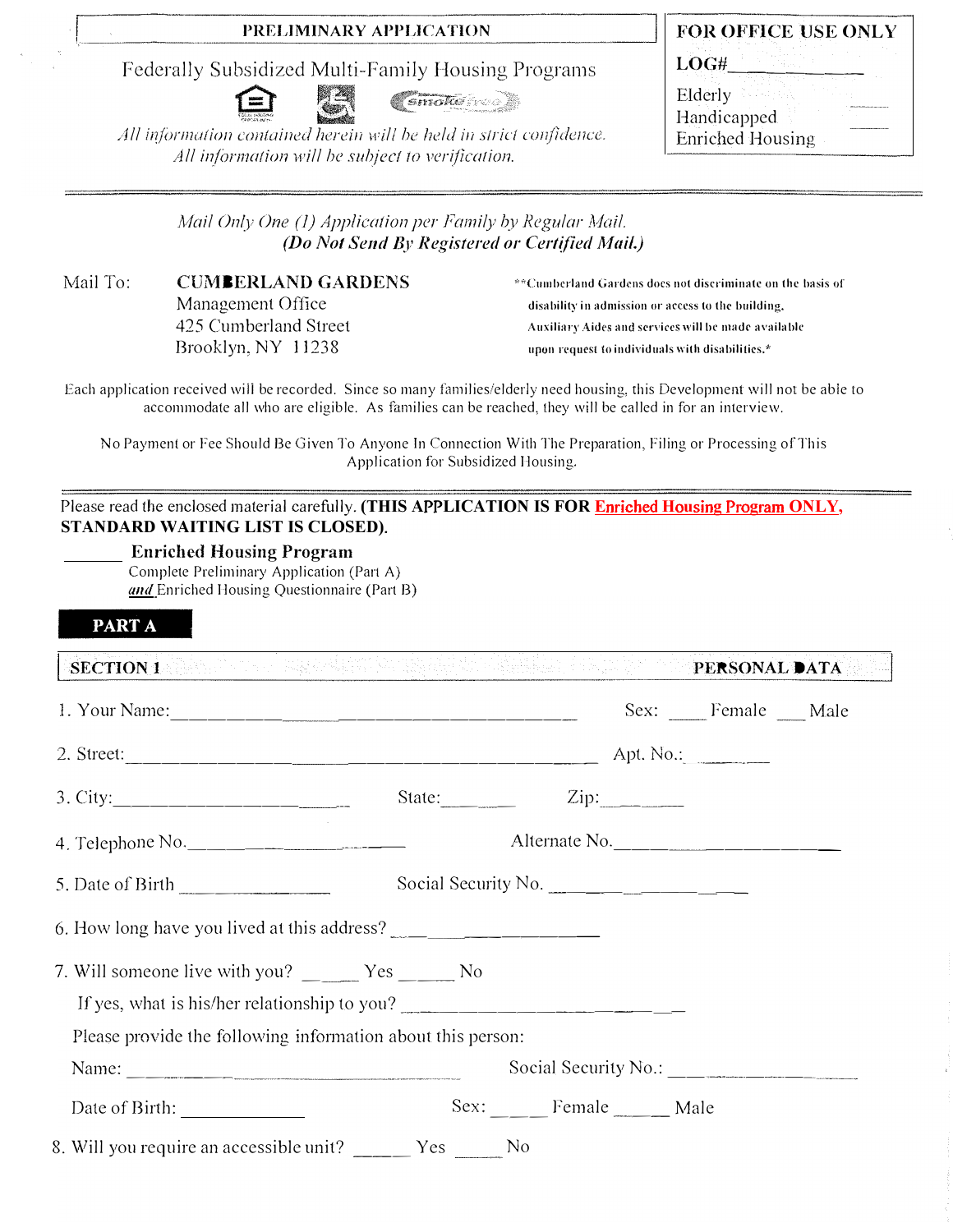## PRELIMINARY APPLICATION

Federally Subsidized Multi-Family Housing Programs



Smoke May

All information contained herein will be held in strict confidence. All information will be subject to verification.

|                         | FOR OFFICE USE ONLY |
|-------------------------|---------------------|
| LOG#                    |                     |
| Elderly                 |                     |
| Handicapped             |                     |
| <b>Enriched Housing</b> |                     |

| Mail Only One (1) Application per Family by Regular Mail. |  |
|-----------------------------------------------------------|--|
| (Do Not Send By Registered or Certified Mail.)            |  |

Mail To: **CUMBERLAND GARDENS** Management Office 425 Cumberland Street Brooklyn, NY 11238

\*\*Cumberland Gardens does not discriminate on the basis of disability in admission or access to the building, Auxiliary Aides and services will be made available upon request to individuals with disabilities.\*

Each application received will be recorded. Since so many families/elderly need housing, this Development will not be able to accommodate all who are eligible. As families can be reached, they will be called in for an interview.

No Payment or Fee Should Be Given To Anyone In Connection With The Preparation, Filing or Processing of This Application for Subsidized Housing.

### Please read the enclosed material carefully. (THIS APPLICATION IS FOR Enriched Housing Program ONLY, STANDARD WAITING LIST IS CLOSED).

### **Enriched Housing Program**

Complete Preliminary Application (Part A) and Enriched Housing Questionnaire (Part B)

### PART A

| SECTION 1 WEBSTER THE RESIDENCE OF RESIDENCE AND RESERVE THE RESIDENCE OF REAL PROPERTY.           |  | <b>PERSONAL DATA</b>                                      |      |                     |  |
|----------------------------------------------------------------------------------------------------|--|-----------------------------------------------------------|------|---------------------|--|
|                                                                                                    |  |                                                           |      | Sex: Female __ Male |  |
|                                                                                                    |  |                                                           |      |                     |  |
|                                                                                                    |  | State: $\frac{1}{\sqrt{1-\frac{1}{2}} \cdot \frac{1}{2}}$ | Zip: |                     |  |
|                                                                                                    |  |                                                           |      | Alternate No.       |  |
| 5. Date of Birth $\frac{1}{2}$                                                                     |  | Social Security No.                                       |      |                     |  |
| 6. How long have you lived at this address?                                                        |  |                                                           |      |                     |  |
| 7. Will someone live with you? ______ Yes _____ No<br>If yes, what is his/her relationship to you? |  |                                                           |      |                     |  |
| Please provide the following information about this person:                                        |  |                                                           |      |                     |  |
|                                                                                                    |  |                                                           |      |                     |  |

| Date of Birth: | .02x | emale | wiale |
|----------------|------|-------|-------|
|                |      |       |       |

8. Will you require an accessible unit? Pes N<sub>0</sub>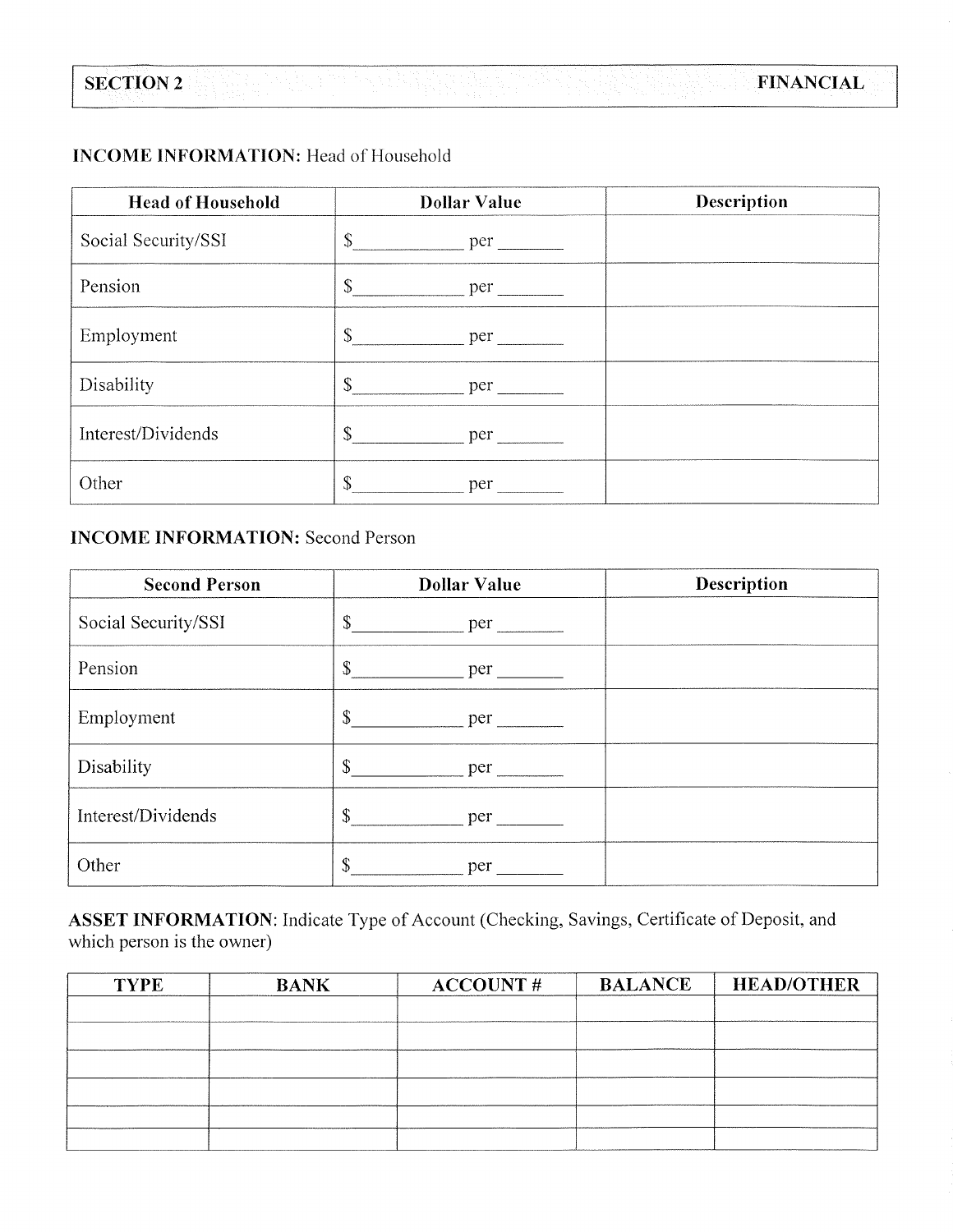# **INCOME INFORMATION:** Head of Household

| <b>Head of Household</b> | <b>Dollar Value</b>         | Description |
|--------------------------|-----------------------------|-------------|
| Social Security/SSI      | \$                          |             |
| Pension                  | $\mathbb{S}$<br>per         |             |
| Employment               | $\mathbb{S}^-$<br>per       |             |
| Disability               | \$<br>$per$ $\qquad \qquad$ |             |
| Interest/Dividends       | $\frac{1}{\sqrt{2}}$<br>per |             |
| Other                    | \$<br>per                   |             |

# **INCOME INFORMATION: Second Person**

| <b>Second Person</b> | <b>Dollar Value</b>  | Description |
|----------------------|----------------------|-------------|
| Social Security/SSI  | $\mathbb{S}$<br>per  |             |
| Pension              | \$<br>per            |             |
| Employment           | \$<br>per            |             |
| Disability           | $\mathbb{S}$<br>per  |             |
| Interest/Dividends   | $\mathcal{S}$<br>per |             |
| Other                | $\mathbb{S}$<br>per  |             |

ASSET INFORMATION: Indicate Type of Account (Checking, Savings, Certificate of Deposit, and which person is the owner)

| <b>TYPE</b> | <b>BANK</b> | <b>ACCOUNT#</b> | <b>BALANCE</b> | <b>HEAD/OTHER</b> |
|-------------|-------------|-----------------|----------------|-------------------|
|             |             |                 |                |                   |
|             |             |                 |                |                   |
|             |             |                 |                |                   |
|             |             |                 |                |                   |
|             |             |                 |                |                   |
|             |             |                 |                |                   |
|             |             |                 |                |                   |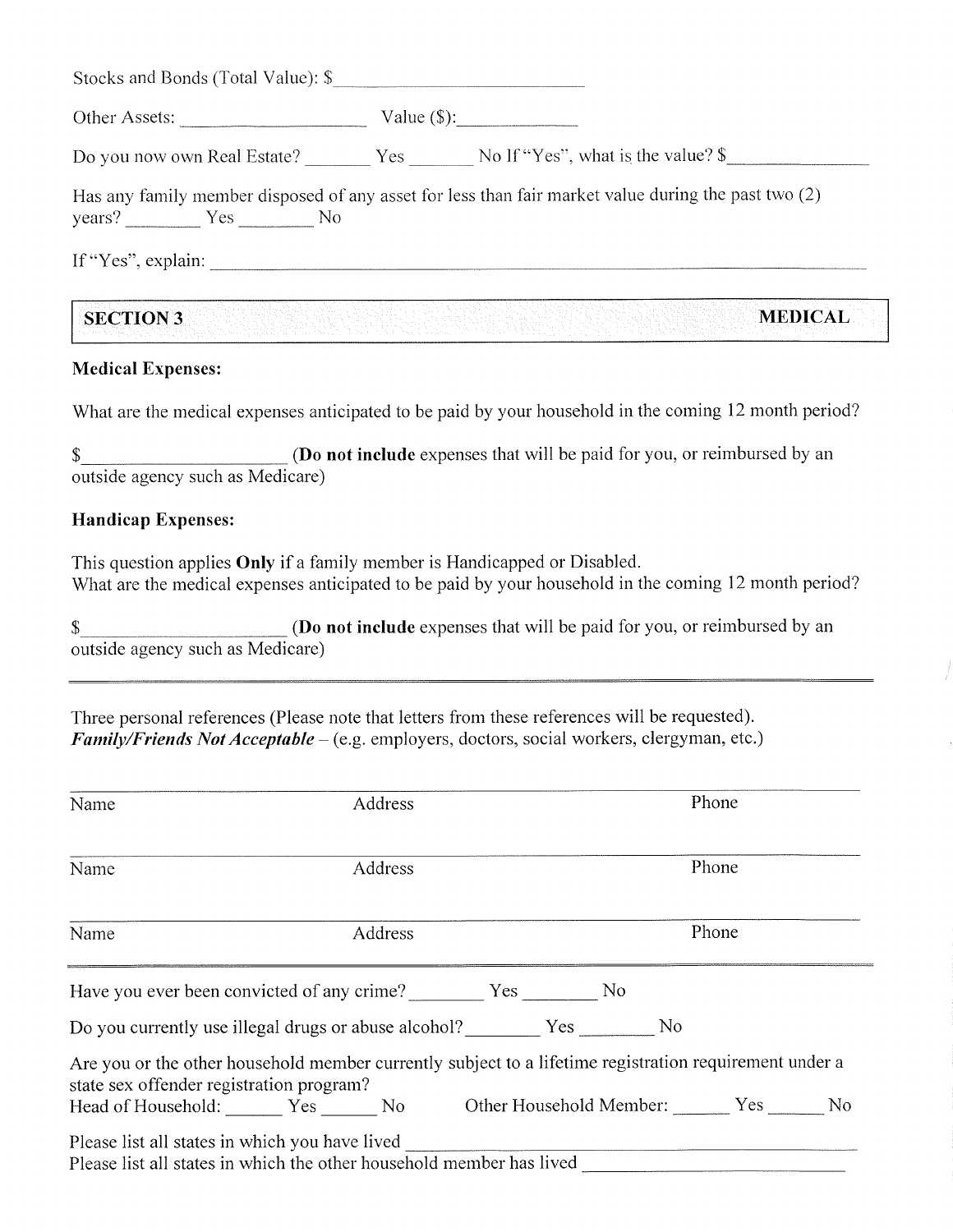| Other Assets:     |                                                                                                     |
|-------------------|-----------------------------------------------------------------------------------------------------|
|                   | Do you now own Real Estate? Yes No If "Yes", what is the value? \$                                  |
|                   |                                                                                                     |
| $years?$ $Yes$ No | Has any family member disposed of any asset for less than fair market value during the past two (2) |

## **Medical Expenses:**

What are the medical expenses anticipated to be paid by your household in the coming 12 month period?

(Do not include expenses that will be paid for you, or reimbursed by an \$ outside agency such as Medicare)

## **Handicap Expenses:**

This question applies Only if a family member is Handicapped or Disabled. What are the medical expenses anticipated to be paid by your household in the coming 12 month period?

(Do not include expenses that will be paid for you, or reimbursed by an  $\mathbb{S}$ outside agency such as Medicare)

Three personal references (Please note that letters from these references will be requested). *Family/Friends Not Acceptable* – (e.g. employers, doctors, social workers, clergyman, etc.)

| Name                                           | Address                                                                                                |  | Phone |       |  |
|------------------------------------------------|--------------------------------------------------------------------------------------------------------|--|-------|-------|--|
| Name                                           | Address                                                                                                |  |       | Phone |  |
| Name                                           | Address                                                                                                |  |       | Phone |  |
|                                                | Have you ever been convicted of any crime? Ves Ves No                                                  |  |       |       |  |
|                                                | Do you currently use illegal drugs or abuse alcohol? Yes No                                            |  |       |       |  |
| state sex offender registration program?       | Are you or the other household member currently subject to a lifetime registration requirement under a |  |       |       |  |
|                                                | Head of Household: ________ Yes _______ No Dther Household Member: _______ Yes _______ No              |  |       |       |  |
| Please list all states in which you have lived | Please list all states in which the other household member has lived                                   |  |       |       |  |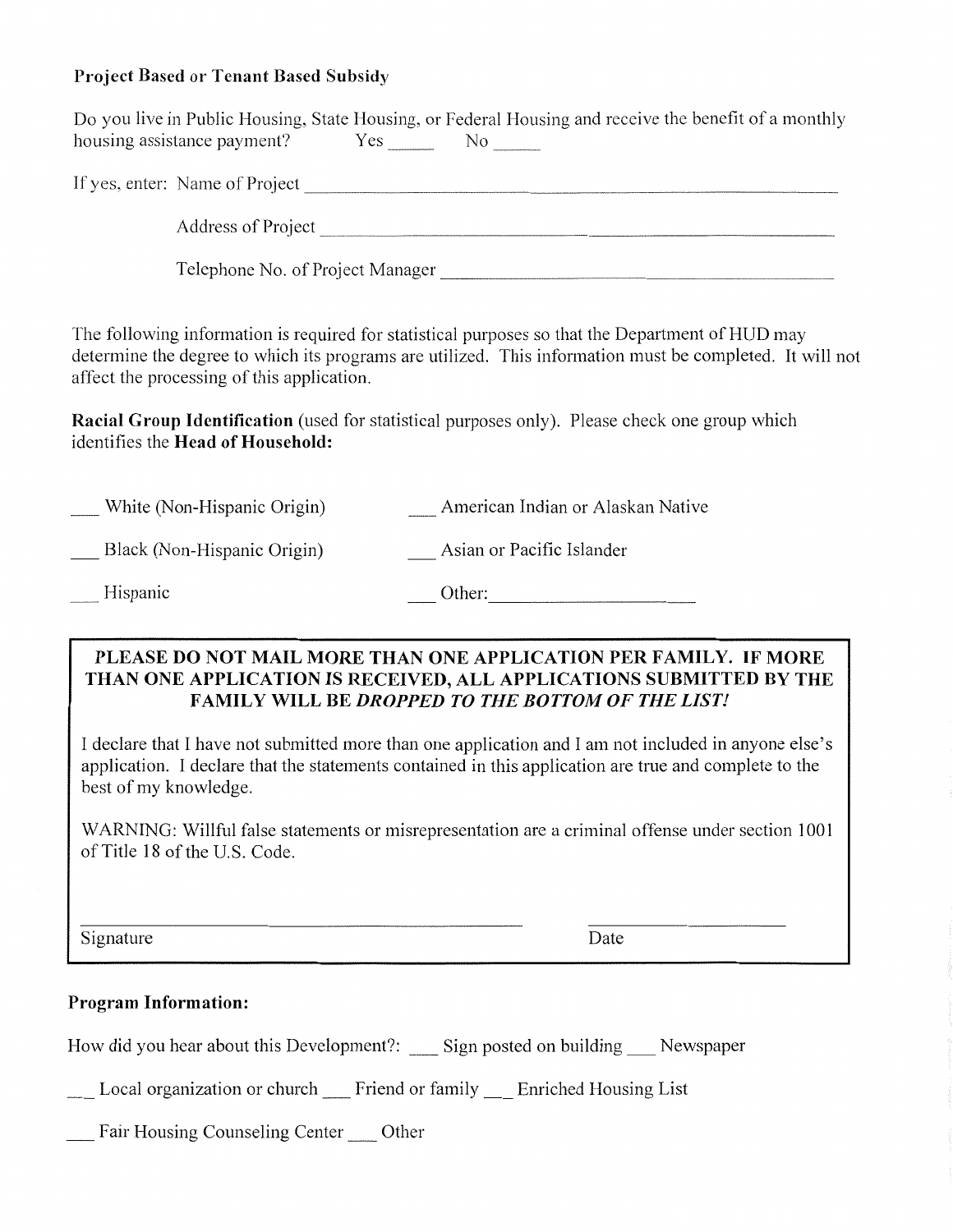# Project Based or Tenant Based Subsidy

|                                                        | Telephone No. of Project Manager                                                                                                                                                                                                                                                                                  |
|--------------------------------------------------------|-------------------------------------------------------------------------------------------------------------------------------------------------------------------------------------------------------------------------------------------------------------------------------------------------------------------|
| affect the processing of this application.             | The following information is required for statistical purposes so that the Department of HUD may<br>determine the degree to which its programs are utilized. This information must be completed. It will not                                                                                                      |
| identifies the Head of Household:                      | <b>Racial Group Identification</b> (used for statistical purposes only). Please check one group which                                                                                                                                                                                                             |
| White (Non-Hispanic Origin)                            | __ American Indian or Alaskan Native                                                                                                                                                                                                                                                                              |
| Black (Non-Hispanic Origin)                            | __ Asian or Pacific Islander                                                                                                                                                                                                                                                                                      |
| _Hispanic                                              |                                                                                                                                                                                                                                                                                                                   |
|                                                        | PLEASE DO NOT MAIL MORE THAN ONE APPLICATION PER FAMILY. IF MORE<br>THAN ONE APPLICATION IS RECEIVED, ALL APPLICATIONS SUBMITTED BY THE<br><b>FAMILY WILL BE DROPPED TO THE BOTTOM OF THE LIST!</b>                                                                                                               |
| best of my knowledge.<br>of Title 18 of the U.S. Code. | I declare that I have not submitted more than one application and I am not included in anyone else's<br>application. I declare that the statements contained in this application are true and complete to the<br>WARNING: Willful false statements or misrepresentation are a criminal offense under section 1001 |

\_\_ Local organization or church \_\_ Friend or family \_\_ Enriched Housing List

\_\_ Fair Housing Counseling Center \_\_ Other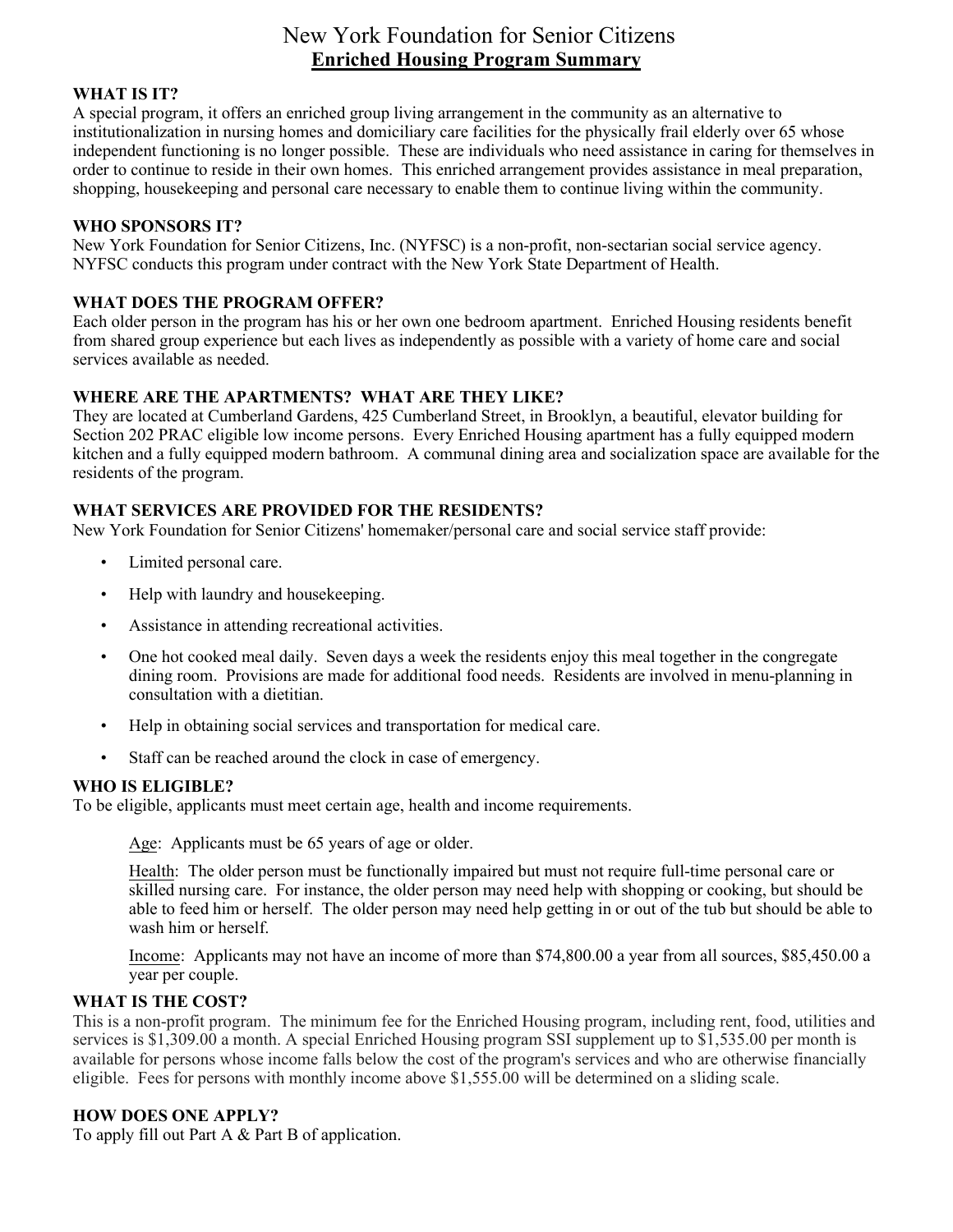# New York Foundation for Senior Citizens **Enriched Housing Program Summary**

### **WHAT IS IT?**

A special program, it offers an enriched group living arrangement in the community as an alternative to institutionalization in nursing homes and domiciliary care facilities for the physically frail elderly over 65 whose independent functioning is no longer possible. These are individuals who need assistance in caring for themselves in order to continue to reside in their own homes. This enriched arrangement provides assistance in meal preparation, shopping, housekeeping and personal care necessary to enable them to continue living within the community.

### **WHO SPONSORS IT?**

New York Foundation for Senior Citizens, Inc. (NYFSC) is a non-profit, non-sectarian social service agency. NYFSC conducts this program under contract with the New York State Department of Health.

### **WHAT DOES THE PROGRAM OFFER?**

Each older person in the program has his or her own one bedroom apartment. Enriched Housing residents benefit from shared group experience but each lives as independently as possible with a variety of home care and social services available as needed.

### **WHERE ARE THE APARTMENTS? WHAT ARE THEY LIKE?**

They are located at Cumberland Gardens, 425 Cumberland Street, in Brooklyn, a beautiful, elevator building for Section 202 PRAC eligible low income persons. Every Enriched Housing apartment has a fully equipped modern kitchen and a fully equipped modern bathroom. A communal dining area and socialization space are available for the residents of the program.

#### **WHAT SERVICES ARE PROVIDED FOR THE RESIDENTS?**

New York Foundation for Senior Citizens' homemaker/personal care and social service staff provide:

- Limited personal care.
- Help with laundry and house keeping.
- Assistance in attending recreational activities.
- One hot cooked meal daily. Seven days a week the residents enjoy this meal together in the congregate dining room. Provisions are made for additional food needs. Residents are involved in menu-planning in consultation with a dietitian.
- Help in obtaining social services and transportation for medical care.
- Staff can be reached around the clock in case of emergency.

#### **WHO IS ELIGIBLE?**

To be eligible, applicants must meet certain age, health and income requirements.

Age: Applicants must be 65 years of age or older.

Health: The older person must be functionally impaired but must not require full-time personal care or skilled nursing care. For instance, the older person may need help with shopping or cooking, but should be able to feed him or herself. The older person may need help getting in or out of the tub but should be able to wash him or herself.

Income: Applicants may not have an income of more than \$74,800.00 a year from all sources, \$85,450.00 a year per couple.

### **WHAT IS THE COST?**

This is a non-profit program. The minimum fee for the Enriched Housing program, including rent, food, utilities and services is \$1,309.00 a month. A special Enriched Housing program SSI supplement up to \$1,535.00 per month is available for persons whose income falls below the cost of the program's services and who are otherwise financially eligible. Fees for persons with monthly income above \$1,555.00 will be determined on a sliding scale.

#### **HOW DOES ONE APPLY?**

To apply fill out Part A & Part B of application.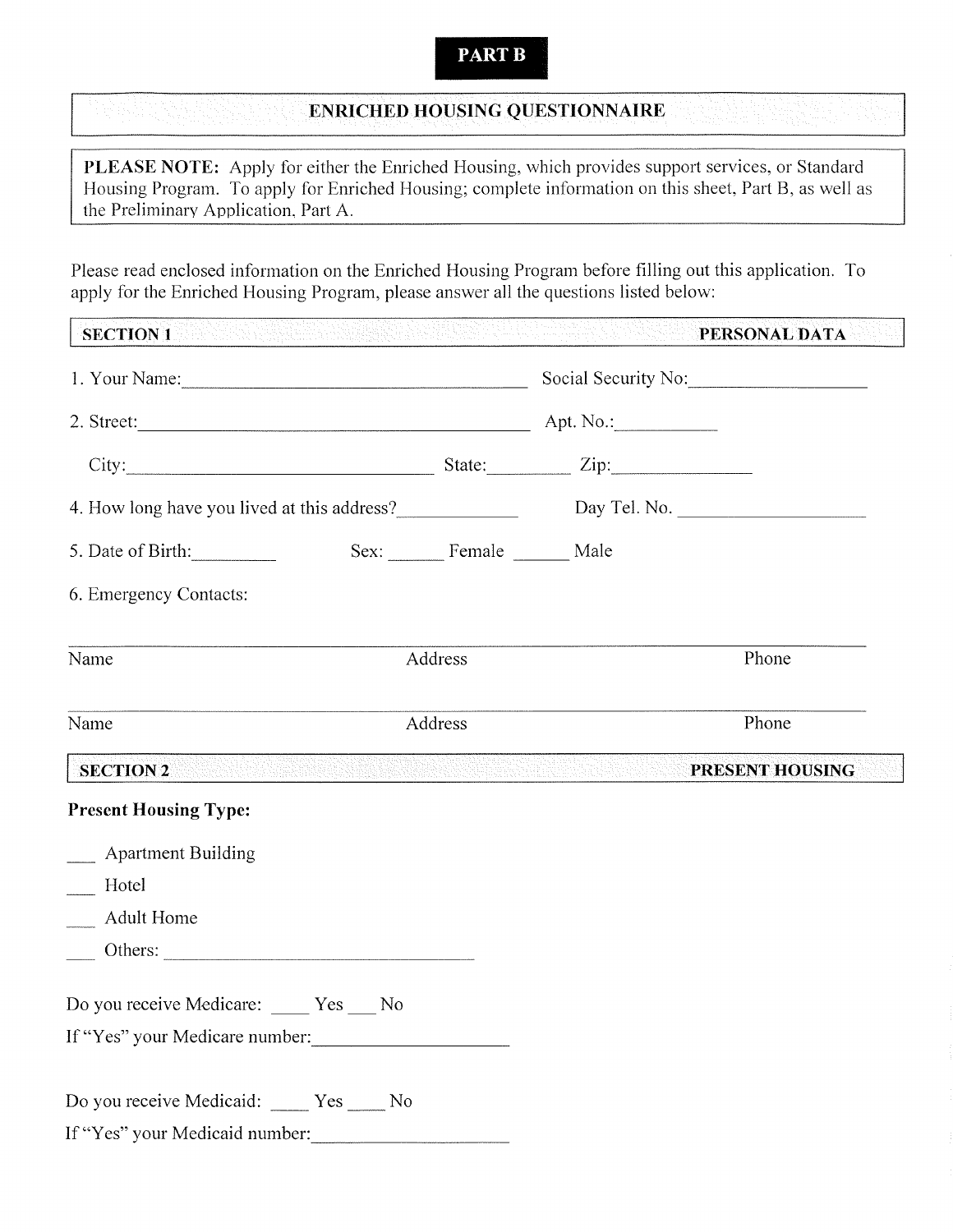# **PART B**

# **ENRICHED HOUSING QUESTIONNAIRE**

PLEASE NOTE: Apply for either the Enriched Housing, which provides support services, or Standard Housing Program. To apply for Enriched Housing; complete information on this sheet, Part B, as well as the Preliminary Application, Part A.

Please read enclosed information on the Enriched Housing Program before filling out this application. To apply for the Enriched Housing Program, please answer all the questions listed below:

| <b>SECTION 1</b><br>in the Sun Singh Section of the Sun of the Sun Section of the Sun Section of the Sun Section of the Sun Section<br>The Sun Section of the Sun Section of the Sun Section of the Sun Section of the Sun Section of the Sun Section |                  |                                                                                                                | PERSONAL DATA   |
|-------------------------------------------------------------------------------------------------------------------------------------------------------------------------------------------------------------------------------------------------------|------------------|----------------------------------------------------------------------------------------------------------------|-----------------|
|                                                                                                                                                                                                                                                       |                  | Social Security No:                                                                                            |                 |
|                                                                                                                                                                                                                                                       |                  |                                                                                                                |                 |
| City: City: Zip:                                                                                                                                                                                                                                      |                  |                                                                                                                |                 |
|                                                                                                                                                                                                                                                       |                  |                                                                                                                |                 |
| 5. Date of Birth:                                                                                                                                                                                                                                     | Sex: Female Male |                                                                                                                |                 |
| 6. Emergency Contacts:                                                                                                                                                                                                                                |                  |                                                                                                                |                 |
| Name                                                                                                                                                                                                                                                  | Address          |                                                                                                                | Phone           |
| Name                                                                                                                                                                                                                                                  | Address          |                                                                                                                | Phone           |
| <b>SECTION 2</b>                                                                                                                                                                                                                                      |                  | e produce de la contentación de la produce de la construcción de la contentación de la contentación de la cons | PRESENT HOUSING |
| <b>Present Housing Type:</b>                                                                                                                                                                                                                          |                  |                                                                                                                |                 |
| <b>Example 1</b> Apartment Building                                                                                                                                                                                                                   |                  |                                                                                                                |                 |
| Hotel                                                                                                                                                                                                                                                 |                  |                                                                                                                |                 |
| Adult Home                                                                                                                                                                                                                                            |                  |                                                                                                                |                 |
| $\overline{\phantom{a}}$ Others:                                                                                                                                                                                                                      |                  |                                                                                                                |                 |
| Do you receive Medicare: _____ Yes ____ No                                                                                                                                                                                                            |                  |                                                                                                                |                 |
| If "Yes" your Medicare number:                                                                                                                                                                                                                        |                  |                                                                                                                |                 |
| Do you receive Medicaid: _____ Yes _____ No                                                                                                                                                                                                           |                  |                                                                                                                |                 |
| If "Yes" your Medicaid number:                                                                                                                                                                                                                        |                  |                                                                                                                |                 |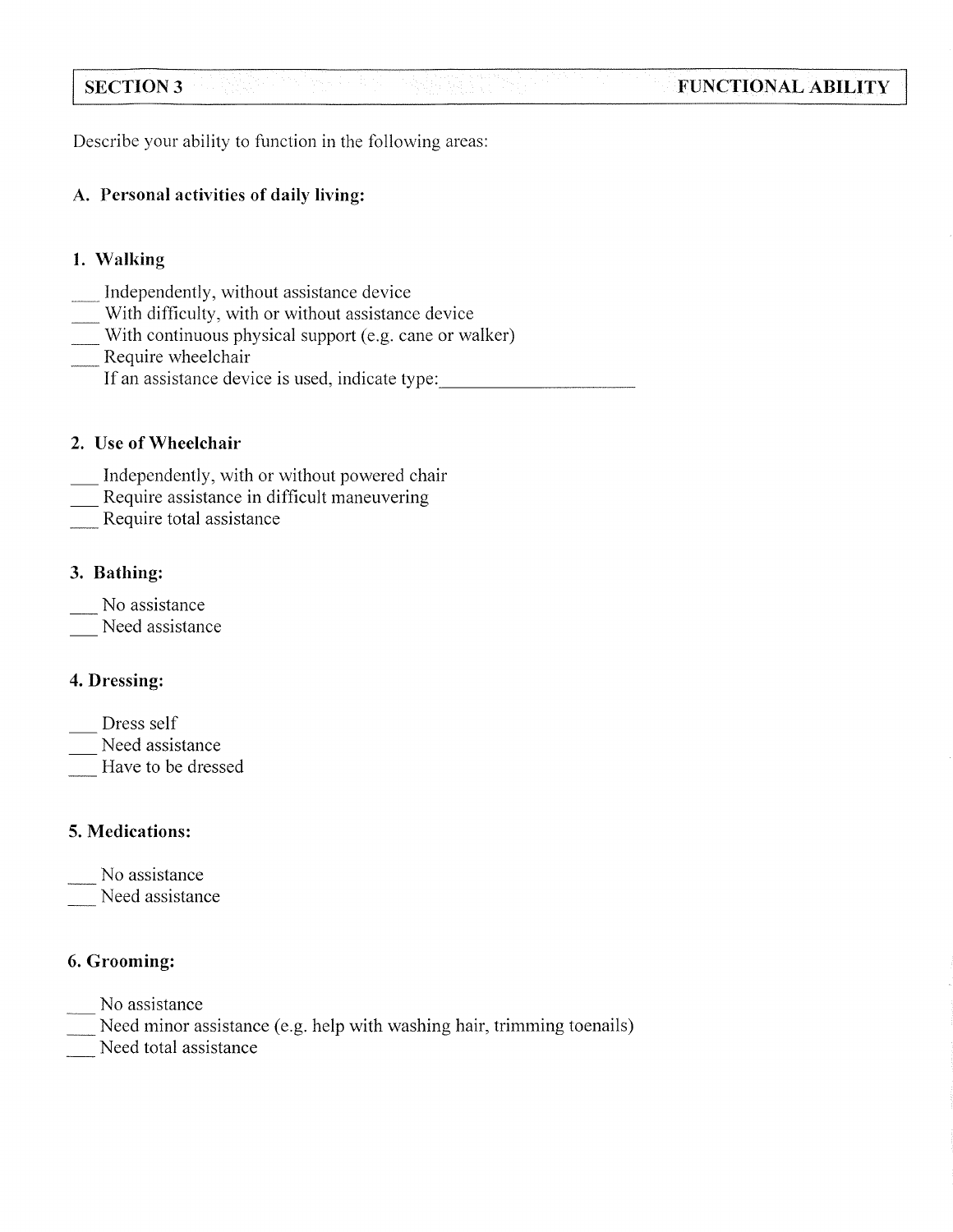Describe your ability to function in the following areas:

# A. Personal activities of daily living:

# 1. Walking

**SECTION 3** 

- Independently, without assistance device
- With difficulty, with or without assistance device
- With continuous physical support (e.g. cane or walker)
- Require wheelchair
- If an assistance device is used, indicate type:

# 2. Use of Wheelchair

- Independently, with or without powered chair
- Require assistance in difficult maneuvering
- Require total assistance

# 3. Bathing:

- No assistance
- Need assistance

# 4. Dressing:

- Dress self
- Need assistance
- Have to be dressed

# 5. Medications:

- No assistance
- Need assistance

# 6. Grooming:

- No assistance
- Need minor assistance (e.g. help with washing hair, trimming toenails)
- Need total assistance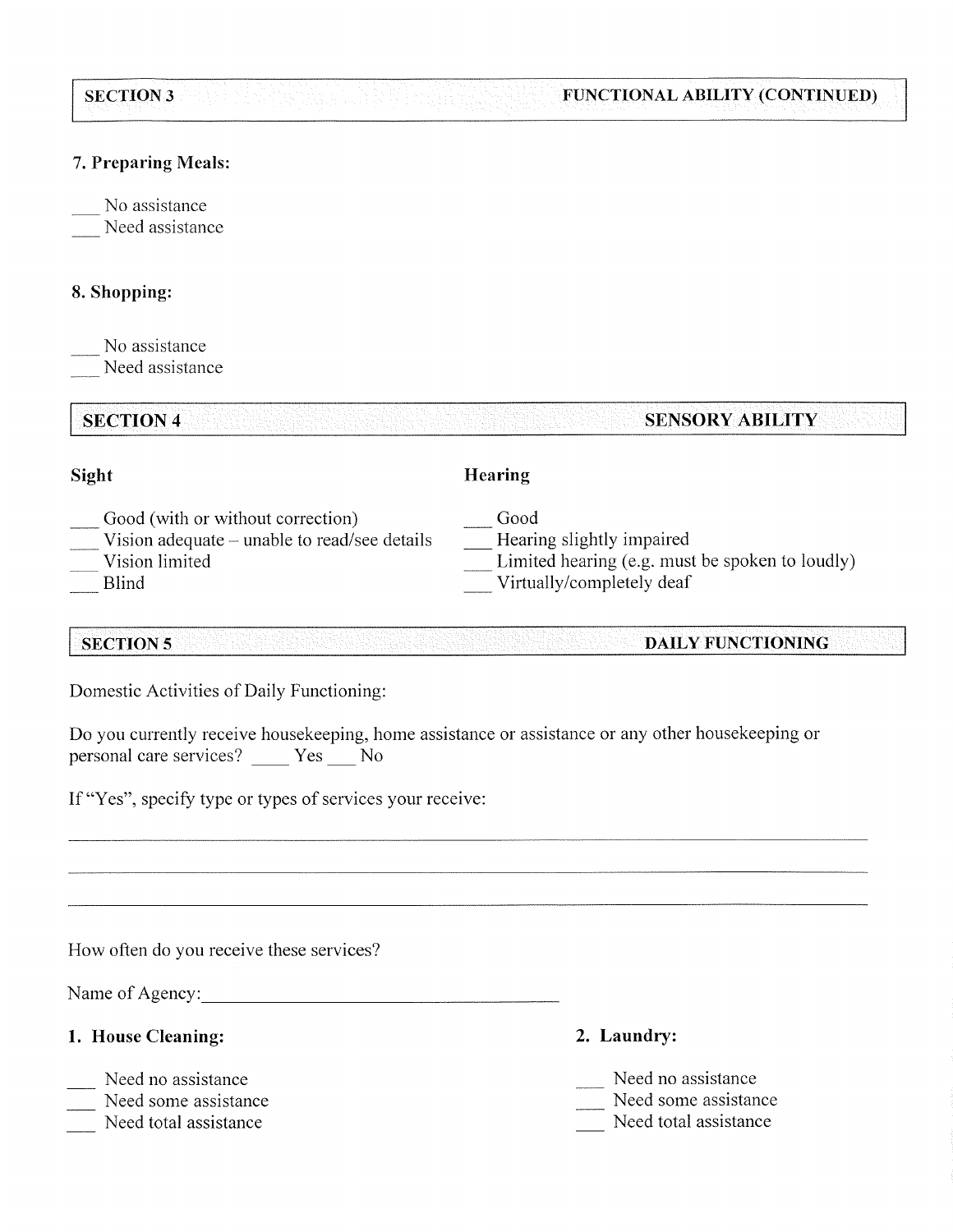#### SECTION 3 FUNCTIONAL ABILITY (CONTINUED)

## 7. Preparing Meals:

No assistance Need assistance

## 8. Shopping:

No assistance Need assistance

**SECTION 4** 

# **SENSORY ABILITY**

### **Sight**

### **Hearing**

- Good (with or without correction)
- Vision adequate unable to read/see details
- Vision limited
- **Blind**

Good

- Hearing slightly impaired
- Limited hearing (e.g. must be spoken to loudly)
- Virtually/completely deaf

#### **SECTION 5** DAILY FUNCTIONING

Domestic Activities of Daily Functioning:

Do you currently receive housekeeping, home assistance or assistance or any other housekeeping or personal care services? \_\_\_\_\_ Yes \_\_\_\_ No

If "Yes", specify type or types of services your receive:

How often do you receive these services?

Name of Agency:

- 1. House Cleaning:
- Need no assistance
- Need some assistance
- Need total assistance
- 2. Laundry:
- Need no assistance
- Need some assistance
- Need total assistance